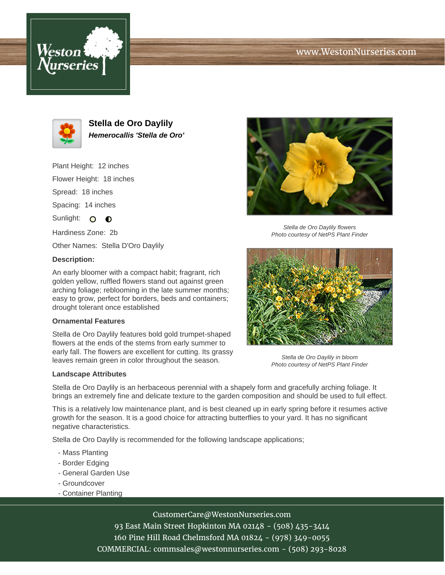





**Stella de Oro Daylily Hemerocallis 'Stella de Oro'**

Plant Height: 12 inches Flower Height: 18 inches Spread: 18 inches Spacing: 14 inches Sunlight: O O

Hardiness Zone: 2b

Other Names: Stella D'Oro Daylily

## **Description:**

An early bloomer with a compact habit; fragrant, rich golden yellow, ruffled flowers stand out against green arching foliage; reblooming in the late summer months; easy to grow, perfect for borders, beds and containers; drought tolerant once established

### **Ornamental Features**

Stella de Oro Daylily features bold gold trumpet-shaped flowers at the ends of the stems from early summer to early fall. The flowers are excellent for cutting. Its grassy leaves remain green in color throughout the season.

#### **Landscape Attributes**



Stella de Oro Daylily flowers Photo courtesy of NetPS Plant Finder



Stella de Oro Daylily in bloom Photo courtesy of NetPS Plant Finder

Stella de Oro Daylily is an herbaceous perennial with a shapely form and gracefully arching foliage. It brings an extremely fine and delicate texture to the garden composition and should be used to full effect.

This is a relatively low maintenance plant, and is best cleaned up in early spring before it resumes active growth for the season. It is a good choice for attracting butterflies to your yard. It has no significant negative characteristics.

Stella de Oro Daylily is recommended for the following landscape applications;

- Mass Planting
- Border Edging
- General Garden Use
- Groundcover
- Container Planting

# CustomerCare@WestonNurseries.com

93 East Main Street Hopkinton MA 02148 - (508) 435-3414 160 Pine Hill Road Chelmsford MA 01824 - (978) 349-0055 COMMERCIAL: commsales@westonnurseries.com - (508) 293-8028